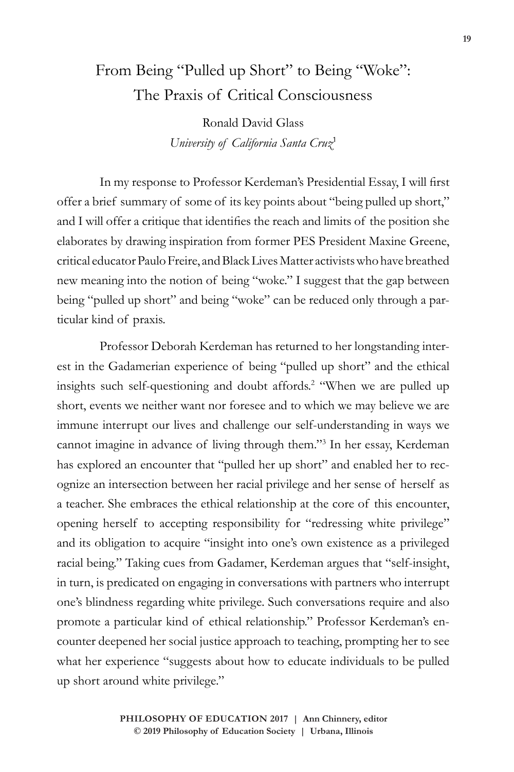## From Being "Pulled up Short" to Being "Woke": The Praxis of Critical Consciousness

Ronald David Glass *University of California Santa Cruz*<sup>1</sup>

In my response to Professor Kerdeman's Presidential Essay, I will first offer a brief summary of some of its key points about "being pulled up short," and I will offer a critique that identifies the reach and limits of the position she elaborates by drawing inspiration from former PES President Maxine Greene, critical educator Paulo Freire, and Black Lives Matter activists who have breathed new meaning into the notion of being "woke." I suggest that the gap between being "pulled up short" and being "woke" can be reduced only through a particular kind of praxis.

Professor Deborah Kerdeman has returned to her longstanding interest in the Gadamerian experience of being "pulled up short" and the ethical insights such self-questioning and doubt affords.<sup>2</sup> "When we are pulled up short, events we neither want nor foresee and to which we may believe we are immune interrupt our lives and challenge our self-understanding in ways we cannot imagine in advance of living through them."3 In her essay, Kerdeman has explored an encounter that "pulled her up short" and enabled her to recognize an intersection between her racial privilege and her sense of herself as a teacher. She embraces the ethical relationship at the core of this encounter, opening herself to accepting responsibility for "redressing white privilege" and its obligation to acquire "insight into one's own existence as a privileged racial being." Taking cues from Gadamer, Kerdeman argues that "self-insight, in turn, is predicated on engaging in conversations with partners who interrupt one's blindness regarding white privilege. Such conversations require and also promote a particular kind of ethical relationship." Professor Kerdeman's encounter deepened her social justice approach to teaching, prompting her to see what her experience "suggests about how to educate individuals to be pulled up short around white privilege."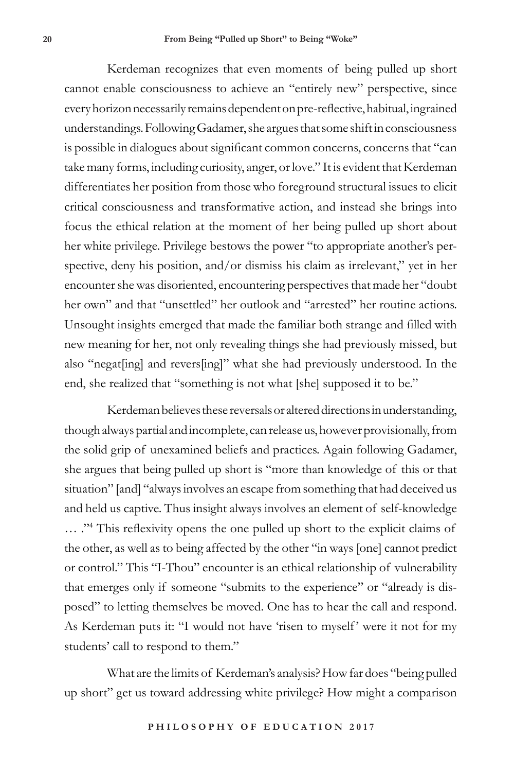Kerdeman recognizes that even moments of being pulled up short cannot enable consciousness to achieve an "entirely new" perspective, since every horizon necessarily remains dependent on pre-reflective, habitual, ingrained understandings. Following Gadamer, she argues that some shift in consciousness is possible in dialogues about significant common concerns, concerns that "can take many forms, including curiosity, anger, or love." It is evident that Kerdeman differentiates her position from those who foreground structural issues to elicit critical consciousness and transformative action, and instead she brings into focus the ethical relation at the moment of her being pulled up short about her white privilege. Privilege bestows the power "to appropriate another's perspective, deny his position, and/or dismiss his claim as irrelevant," yet in her encounter she was disoriented, encountering perspectives that made her "doubt her own" and that "unsettled" her outlook and "arrested" her routine actions. Unsought insights emerged that made the familiar both strange and filled with new meaning for her, not only revealing things she had previously missed, but also "negat[ing] and revers[ing]" what she had previously understood. In the end, she realized that "something is not what [she] supposed it to be."

Kerdeman believes these reversals or altered directions in understanding, though always partial and incomplete, can release us, however provisionally, from the solid grip of unexamined beliefs and practices. Again following Gadamer, she argues that being pulled up short is "more than knowledge of this or that situation" [and] "always involves an escape from something that had deceived us and held us captive. Thus insight always involves an element of self-knowledge ... ."<sup>4</sup> This reflexivity opens the one pulled up short to the explicit claims of the other, as well as to being affected by the other "in ways [one] cannot predict or control." This "I-Thou" encounter is an ethical relationship of vulnerability that emerges only if someone "submits to the experience" or "already is disposed" to letting themselves be moved. One has to hear the call and respond. As Kerdeman puts it: "I would not have 'risen to myself' were it not for my students' call to respond to them."

What are the limits of Kerdeman's analysis? How far does "being pulled up short" get us toward addressing white privilege? How might a comparison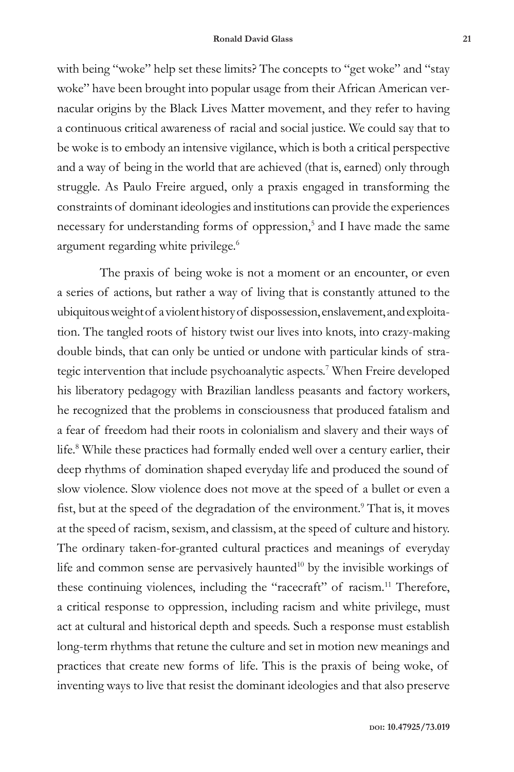with being "woke" help set these limits? The concepts to "get woke" and "stay woke" have been brought into popular usage from their African American vernacular origins by the Black Lives Matter movement, and they refer to having a continuous critical awareness of racial and social justice. We could say that to be woke is to embody an intensive vigilance, which is both a critical perspective and a way of being in the world that are achieved (that is, earned) only through struggle. As Paulo Freire argued, only a praxis engaged in transforming the constraints of dominant ideologies and institutions can provide the experiences necessary for understanding forms of oppression,<sup>5</sup> and I have made the same argument regarding white privilege.<sup>6</sup>

The praxis of being woke is not a moment or an encounter, or even a series of actions, but rather a way of living that is constantly attuned to the ubiquitous weight of a violent history of dispossession, enslavement, and exploitation. The tangled roots of history twist our lives into knots, into crazy-making double binds, that can only be untied or undone with particular kinds of strategic intervention that include psychoanalytic aspects.7 When Freire developed his liberatory pedagogy with Brazilian landless peasants and factory workers, he recognized that the problems in consciousness that produced fatalism and a fear of freedom had their roots in colonialism and slavery and their ways of life.8 While these practices had formally ended well over a century earlier, their deep rhythms of domination shaped everyday life and produced the sound of slow violence. Slow violence does not move at the speed of a bullet or even a fist, but at the speed of the degradation of the environment.<sup>9</sup> That is, it moves at the speed of racism, sexism, and classism, at the speed of culture and history. The ordinary taken-for-granted cultural practices and meanings of everyday life and common sense are pervasively haunted<sup>10</sup> by the invisible workings of these continuing violences, including the "racecraft" of racism.<sup>11</sup> Therefore, a critical response to oppression, including racism and white privilege, must act at cultural and historical depth and speeds. Such a response must establish long-term rhythms that retune the culture and set in motion new meanings and practices that create new forms of life. This is the praxis of being woke, of inventing ways to live that resist the dominant ideologies and that also preserve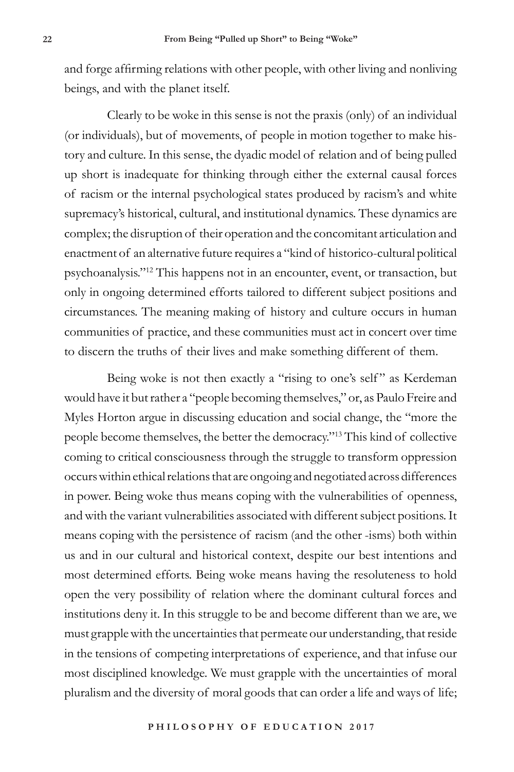and forge affirming relations with other people, with other living and nonliving beings, and with the planet itself.

Clearly to be woke in this sense is not the praxis (only) of an individual (or individuals), but of movements, of people in motion together to make history and culture. In this sense, the dyadic model of relation and of being pulled up short is inadequate for thinking through either the external causal forces of racism or the internal psychological states produced by racism's and white supremacy's historical, cultural, and institutional dynamics. These dynamics are complex; the disruption of their operation and the concomitant articulation and enactment of an alternative future requires a "kind of historico-cultural political psychoanalysis."12 This happens not in an encounter, event, or transaction, but only in ongoing determined efforts tailored to different subject positions and circumstances. The meaning making of history and culture occurs in human communities of practice, and these communities must act in concert over time to discern the truths of their lives and make something different of them.

Being woke is not then exactly a "rising to one's self" as Kerdeman would have it but rather a "people becoming themselves," or, as Paulo Freire and Myles Horton argue in discussing education and social change, the "more the people become themselves, the better the democracy."13 This kind of collective coming to critical consciousness through the struggle to transform oppression occurs within ethical relations that are ongoing and negotiated across differences in power. Being woke thus means coping with the vulnerabilities of openness, and with the variant vulnerabilities associated with different subject positions. It means coping with the persistence of racism (and the other -isms) both within us and in our cultural and historical context, despite our best intentions and most determined efforts. Being woke means having the resoluteness to hold open the very possibility of relation where the dominant cultural forces and institutions deny it. In this struggle to be and become different than we are, we must grapple with the uncertainties that permeate our understanding, that reside in the tensions of competing interpretations of experience, and that infuse our most disciplined knowledge. We must grapple with the uncertainties of moral pluralism and the diversity of moral goods that can order a life and ways of life;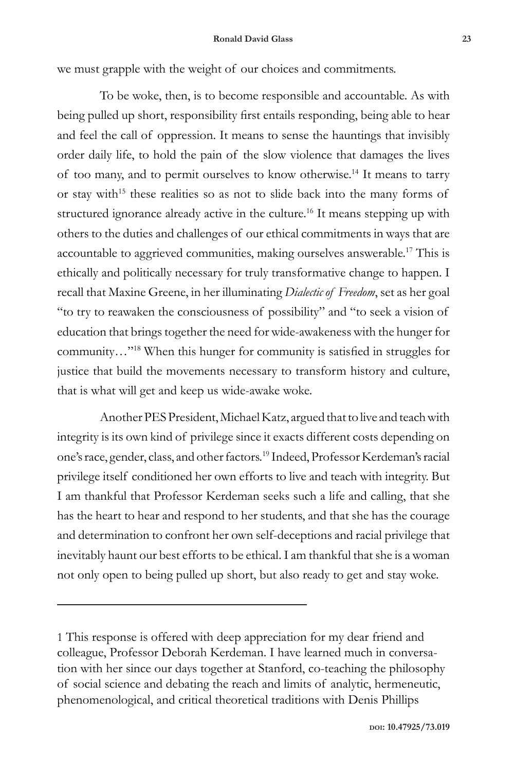we must grapple with the weight of our choices and commitments.

To be woke, then, is to become responsible and accountable. As with being pulled up short, responsibility first entails responding, being able to hear and feel the call of oppression. It means to sense the hauntings that invisibly order daily life, to hold the pain of the slow violence that damages the lives of too many, and to permit ourselves to know otherwise.14 It means to tarry or stay with<sup>15</sup> these realities so as not to slide back into the many forms of structured ignorance already active in the culture.<sup>16</sup> It means stepping up with others to the duties and challenges of our ethical commitments in ways that are accountable to aggrieved communities, making ourselves answerable.17 This is ethically and politically necessary for truly transformative change to happen. I recall that Maxine Greene, in her illuminating *Dialectic of Freedom*, set as her goal "to try to reawaken the consciousness of possibility" and "to seek a vision of education that brings together the need for wide-awakeness with the hunger for community…"18 When this hunger for community is satisfied in struggles for justice that build the movements necessary to transform history and culture, that is what will get and keep us wide-awake woke.

Another PES President, Michael Katz, argued that to live and teach with integrity is its own kind of privilege since it exacts different costs depending on one's race, gender, class, and other factors.19 Indeed, Professor Kerdeman's racial privilege itself conditioned her own efforts to live and teach with integrity. But I am thankful that Professor Kerdeman seeks such a life and calling, that she has the heart to hear and respond to her students, and that she has the courage and determination to confront her own self-deceptions and racial privilege that inevitably haunt our best efforts to be ethical. I am thankful that she is a woman not only open to being pulled up short, but also ready to get and stay woke.

<sup>1</sup> This response is offered with deep appreciation for my dear friend and colleague, Professor Deborah Kerdeman. I have learned much in conversation with her since our days together at Stanford, co-teaching the philosophy of social science and debating the reach and limits of analytic, hermeneutic, phenomenological, and critical theoretical traditions with Denis Phillips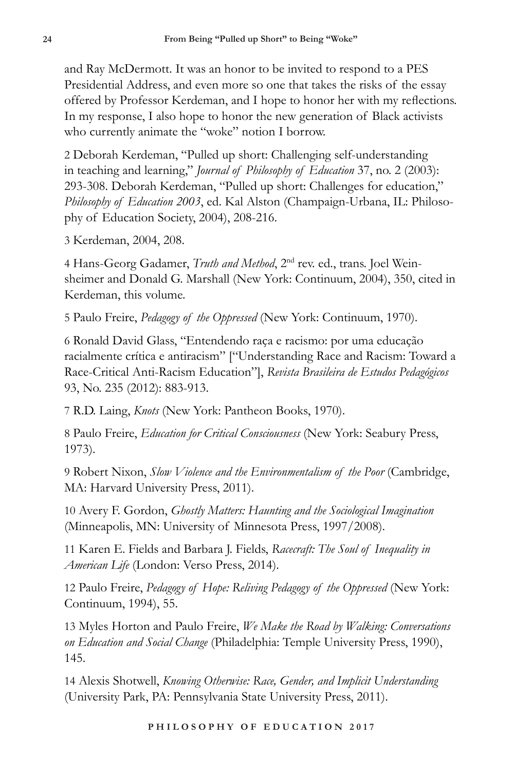and Ray McDermott. It was an honor to be invited to respond to a PES Presidential Address, and even more so one that takes the risks of the essay offered by Professor Kerdeman, and I hope to honor her with my reflections. In my response, I also hope to honor the new generation of Black activists who currently animate the "woke" notion I borrow.

2 Deborah Kerdeman, "Pulled up short: Challenging self-understanding in teaching and learning," *Journal of Philosophy of Education* 37, no. 2 (2003): 293-308. Deborah Kerdeman, "Pulled up short: Challenges for education," *Philosophy of Education 2003*, ed. Kal Alston (Champaign-Urbana, IL: Philosophy of Education Society, 2004), 208-216.

3 Kerdeman, 2004, 208.

4 Hans-Georg Gadamer, *Truth and Method*, 2nd rev. ed., trans. Joel Weinsheimer and Donald G. Marshall (New York: Continuum, 2004), 350, cited in Kerdeman, this volume.

5 Paulo Freire, *Pedagogy of the Oppressed* (New York: Continuum, 1970).

6 Ronald David Glass, "Entendendo raça e racismo: por uma educação racialmente crítica e antiracism" ["Understanding Race and Racism: Toward a Race-Critical Anti-Racism Education"], *Revista Brasileira de Estudos Pedagógicos* 93, No. 235 (2012): 883-913.

7 R.D. Laing, *Knots* (New York: Pantheon Books, 1970).

8 Paulo Freire, *Education for Critical Consciousness* (New York: Seabury Press, 1973).

9 Robert Nixon, *Slow Violence and the Environmentalism of the Poor* (Cambridge, MA: Harvard University Press, 2011).

10 Avery F. Gordon, *Ghostly Matters: Haunting and the Sociological Imagination* (Minneapolis, MN: University of Minnesota Press, 1997/2008).

11 Karen E. Fields and Barbara J. Fields, *Racecraft: The Soul of Inequality in American Life* (London: Verso Press, 2014).

12 Paulo Freire, *Pedagogy of Hope: Reliving Pedagogy of the Oppressed* (New York: Continuum, 1994), 55.

13 Myles Horton and Paulo Freire, *We Make the Road by Walking: Conversations on Education and Social Change* (Philadelphia: Temple University Press, 1990), 145.

14 Alexis Shotwell, *Knowing Otherwise: Race, Gender, and Implicit Understanding* (University Park, PA: Pennsylvania State University Press, 2011).